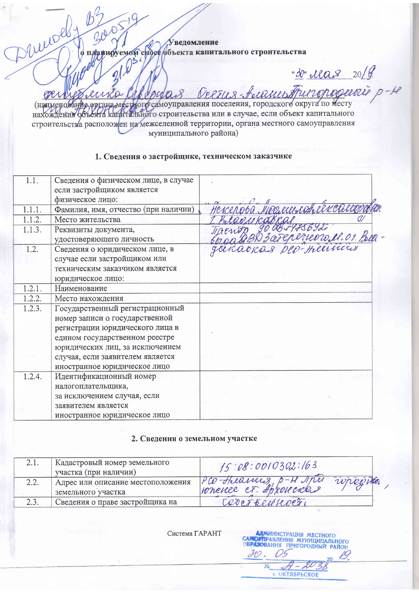runcelsb 20005 емой сносе объекта капитального строительства

<u>"30 Mai 20/9</u><br>Frienprogence p

erer Elauer  $\mathcal{N}$ p наименование органа местного самоуправления поселения, городского округа по месту строительства расположен на межселенной территории, органа местного самоуправления муниципального района)

## 1. Сведения о застройщике, техническом заказчике

| 1.1.   | Сведения о физическом лице, в случае |                                 |
|--------|--------------------------------------|---------------------------------|
|        | если застройщиком является           |                                 |
|        | физическое лицо:                     |                                 |
| 1.1.1. | Фамилия, имя, отчество (при наличии) | DOG MIPPLECERTOIRE              |
| 1.1.2. | Место жительства                     |                                 |
| 1.1.3. | Реквизиты документа,                 | 5692                            |
|        | удостоверяющего личность             |                                 |
| 1.2.   | Сведения о юридическом лице, в       | <u> 3 areperies will. or Ba</u> |
|        | случае если застройщиком или         |                                 |
|        | техническим заказчиком является      |                                 |
|        | юридическое лицо:                    |                                 |
| 1.2.1. | Наименование                         |                                 |
| 1.2.2. | Место нахождения                     |                                 |
| 1.2.3. | Государственный регистрационный      |                                 |
|        | номер записи о государственной       |                                 |
|        | регистрации юридического лица в      |                                 |
|        | едином государственном реестре       |                                 |
|        | юридических лиц, за исключением      |                                 |
|        | случая, если заявителем является     |                                 |
|        | иностранное юридическое лицо         |                                 |
| 1.2.4. | Идентификационный номер              |                                 |
|        | налогоплательщика,                   |                                 |
|        | за исключением случая, если          |                                 |
|        | заявителем является                  |                                 |
|        | иностранное юридическое лицо         |                                 |

## 2. Сведения о земельном участке

| 2.1. | Кадастровый номер земельного<br>участка (при наличии)   | 15:08:0010302:163                 |
|------|---------------------------------------------------------|-----------------------------------|
| 2.2. | Адрес или описание местоположения<br>земельного участка | PCO-Hearnes, p-H Spei<br>Wreezvon |
|      | Сведения о праве застройщика на                         | CQQQFRQQQRQQQT                    |

Система ГАРАНТ

**АВМИНИСТРАЦИЯ МЕСТНОГО**<br>САМОУПРАВЛЕНИЯ МУНИЦИПАЛЬНОГО<br>ОБРАЗОВАНИЯ ПРИГОРОДНЫЙ РАЙОН

A с. ОКТЯБРЬСКОЕ

30 .